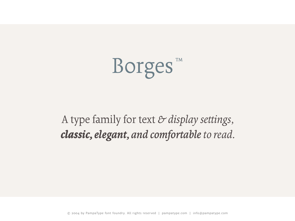

A type family for text *& display settings, classic, elegant, and comfortable to read.*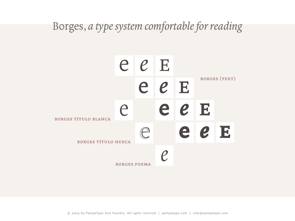### Borges, *a type system comfortable for reading*

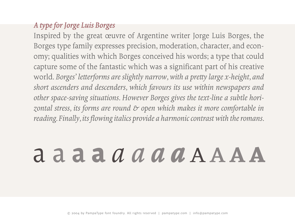### *A type for Jorge Luis Borges*

Inspired by the great œuvre of Argentine writer Jorge Luis Borges, the Borges type family expresses precision, moderation, character, and economy; qualities with which Borges conceived his words; a type that could capture some of the fantastic which was a significant part of his creative world. *Borges' letterforms are slightly narrow, with a pretty large x-height, and short ascenders and descenders, which favours its use within newspapers and other space-saving situations. However Borges gives the text-line a subtle horizontal stress, its forms are round & open which makes it more comfortable in reading. Finally, its flowing italics provide a harmonic contrast with the romans.*

# a a a a *a a a a* aaaa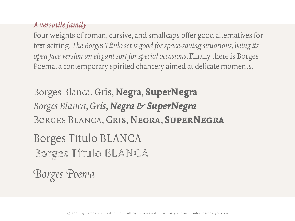### *A versatile family*

Four weights of roman, cursive, and smallcaps offer good alternatives for text setting. *The Borges Título set is good for space-saving situations, being its open face version an elegant sort for special occasions.* Finally there is Borges Poema, a contemporary spirited chancery aimed at delicate moments.

Borges Blanca, Gris, Negra, SuperNegra *Borges Blanca, Gris, Negra & SuperNegra*  Borges Blanca, Gris, Negra, SuperNegra

Borges Título BLANCA Borges Título BLANCA

*Borges Poema*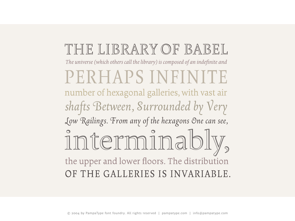## THE LIBRARY OF BABEL

The universe (which others call the library) is composed of an indefinite and

PERHAPS INFINITE number of hexagonal galleries, with vast air shafts Between, Surrounded by Very Low Railings. From any of the hexagons One can see, interminably, the upper and lower floors. The distribution OF THE GALLERIES IS INVARIABLE.